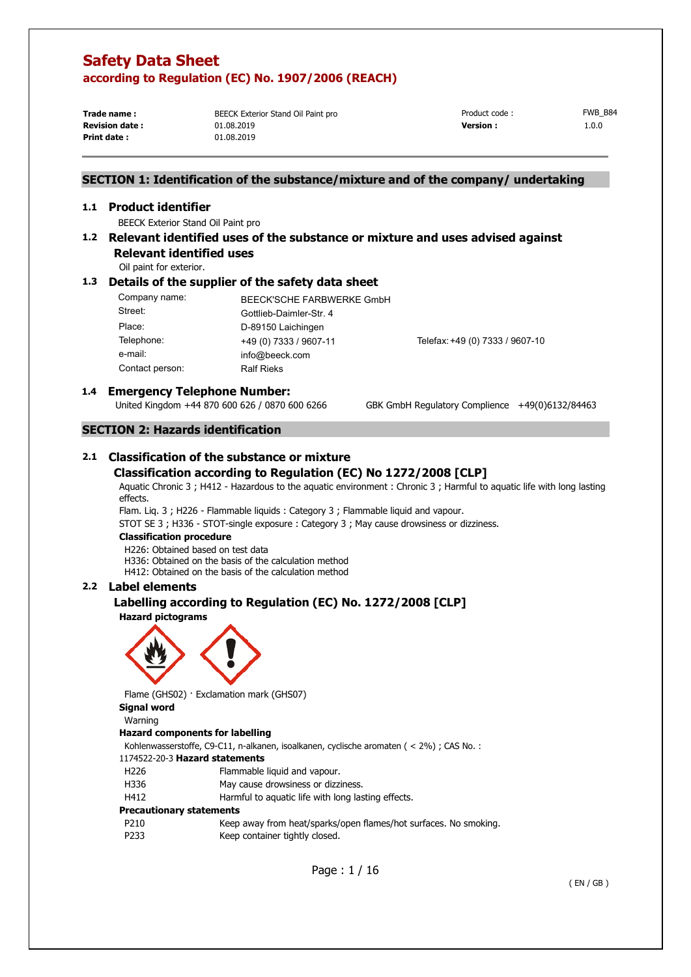**Print date :** 01.08.2019

**Trade name : BEECK Exterior Stand Oil Paint pro** 

**Revision date :** 01.08.2019 **Version :** 1.0.0 Product code : FWB B84

## **SECTION 1: Identification of the substance/mixture and of the company/ undertaking**

#### **1.1 Product identifier**

BEECK Exterior Stand Oil Paint pro

## **1.2 Relevant identified uses of the substance or mixture and uses advised against**

**Relevant identified uses** 

Oil paint for exterior.

### **1.3 Details of the supplier of the safety data sheet**

| Company name:   | BEECK'SCHE FARBWERKE GmbH |                                 |
|-----------------|---------------------------|---------------------------------|
| Street:         | Gottlieb-Daimler-Str. 4   |                                 |
| Place:          | D-89150 Laichingen        |                                 |
| Telephone:      | +49 (0) 7333 / 9607-11    | Telefax: +49 (0) 7333 / 9607-10 |
| e-mail:         | info@beeck.com            |                                 |
| Contact person: | <b>Ralf Rieks</b>         |                                 |

# **1.4 <b>Emergency Telephone Number:**<br>United Kingdom +44 870 600 626 / 0870 600 6266

GBK GmbH Regulatory Complience +49(0)6132/84463

## **SECTION 2: Hazards identification**

## **2.1 Classification of the substance or mixture Classification according to Regulation (EC) No 1272/2008 [CLP]**

Aquatic Chronic 3 ; H412 - Hazardous to the aquatic environment : Chronic 3 ; Harmful to aquatic life with long lasting effects.

Flam. Liq. 3 ; H226 - Flammable liquids : Category 3 ; Flammable liquid and vapour.

STOT SE 3 ; H336 - STOT-single exposure : Category 3 ; May cause drowsiness or dizziness.

#### **Classification procedure**

H226: Obtained based on test data

H336: Obtained on the basis of the calculation method

H412: Obtained on the basis of the calculation method

## **2.2 Label elements**

## **Labelling according to Regulation (EC) No. 1272/2008 [CLP]**

**Hazard pictograms** 



Flame (GHS02) · Exclamation mark (GHS07)

**Signal word** 

### Warning

#### **Hazard components for labelling**

Kohlenwasserstoffe, C9-C11, n-alkanen, isoalkanen, cyclische aromaten ( < 2%) ; CAS No. :

#### 1174522-20-3 **Hazard statements**

- H226 Flammable liquid and vapour.
- H336 May cause drowsiness or dizziness.
- H412 Harmful to aquatic life with long lasting effects.

#### **Precautionary statements**

P210 Keep away from heat/sparks/open flames/hot surfaces. No smoking. P233 Keep container tightly closed.

Page : 1 / 16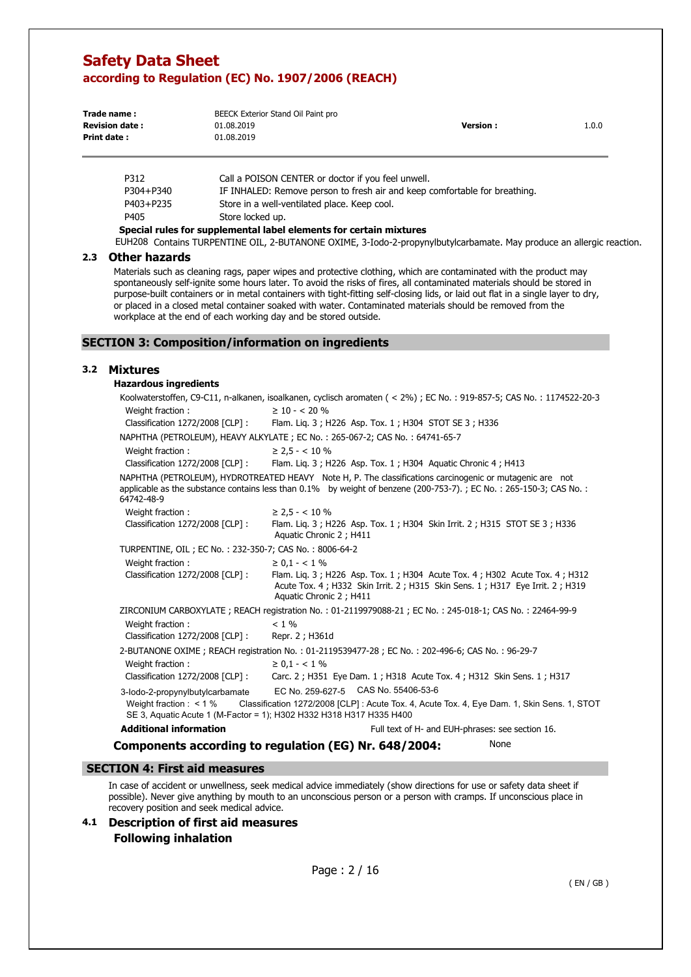| Trade name:           | BEECK Exterior Stand Oil Paint pro |                 |       |
|-----------------------|------------------------------------|-----------------|-------|
| <b>Revision date:</b> | 01.08.2019                         | <b>Version:</b> | 1.0.0 |
| Print date:           | 01.08.2019                         |                 |       |

| Special rules for supplemental label elements for certain mivtures. |                                                                            |  |  |
|---------------------------------------------------------------------|----------------------------------------------------------------------------|--|--|
| P405                                                                | Store locked up.                                                           |  |  |
| P403+P235                                                           | Store in a well-ventilated place. Keep cool.                               |  |  |
| P304+P340                                                           | IF INHALED: Remove person to fresh air and keep comfortable for breathing. |  |  |
| P312                                                                | Call a POISON CENTER or doctor if you feel unwell.                         |  |  |

**Special rules for supplemental label elements for certain mixtures**  EUH208 Contains TURPENTINE OIL, 2-BUTANONE OXIME, 3-Iodo-2-propynylbutylcarbamate. May produce an allergic reaction.

#### **2.3 Other hazards**

Materials such as cleaning rags, paper wipes and protective clothing, which are contaminated with the product may spontaneously self-ignite some hours later. To avoid the risks of fires, all contaminated materials should be stored in purpose-built containers or in metal containers with tight-fitting self-closing lids, or laid out flat in a single layer to dry, or placed in a closed metal container soaked with water. Contaminated materials should be removed from the workplace at the end of each working day and be stored outside.

## **SECTION 3: Composition/information on ingredients**

### **3.2 Mixtures**

| <b>Hazardous ingredients</b>                           |                                                                                                                                                                                                                                |
|--------------------------------------------------------|--------------------------------------------------------------------------------------------------------------------------------------------------------------------------------------------------------------------------------|
|                                                        | Koolwaterstoffen, C9-C11, n-alkanen, isoalkanen, cyclisch aromaten (< 2%); EC No.: 919-857-5; CAS No.: 1174522-20-3                                                                                                            |
| Weight fraction:                                       | $\geq 10 - 5.20 \%$                                                                                                                                                                                                            |
| Classification 1272/2008 [CLP] :                       | Flam. Lig. 3; H226 Asp. Tox. 1; H304 STOT SE 3; H336                                                                                                                                                                           |
|                                                        | NAPHTHA (PETROLEUM), HEAVY ALKYLATE; EC No.: 265-067-2; CAS No.: 64741-65-7                                                                                                                                                    |
| Weight fraction:                                       | $\geq$ 2.5 - < 10 %                                                                                                                                                                                                            |
| Classification 1272/2008 [CLP] :                       | Flam. Lig. 3; H226 Asp. Tox. 1; H304 Aguatic Chronic 4; H413                                                                                                                                                                   |
| 64742-48-9                                             | NAPHTHA (PETROLEUM), HYDROTREATED HEAVY Note H, P. The classifications carcinogenic or mutagenic are not<br>applicable as the substance contains less than 0.1% by weight of benzene (200-753-7).; EC No.: 265-150-3; CAS No.: |
| Weight fraction:                                       | $\geq$ 2,5 - < 10 %                                                                                                                                                                                                            |
| Classification 1272/2008 [CLP] :                       | Flam. Lig. 3; H226 Asp. Tox. 1; H304 Skin Irrit. 2; H315 STOT SE 3; H336<br>Aquatic Chronic 2; H411                                                                                                                            |
| TURPENTINE, OIL; EC No.: 232-350-7; CAS No.: 8006-64-2 |                                                                                                                                                                                                                                |
| Weight fraction :                                      | $\geq 0.1 - < 1\%$                                                                                                                                                                                                             |
| Classification 1272/2008 [CLP] :                       | Flam. Lig. 3; H226 Asp. Tox. 1; H304 Acute Tox. 4; H302 Acute Tox. 4; H312<br>Acute Tox. 4; H332 Skin Irrit. 2; H315 Skin Sens. 1; H317 Eye Irrit. 2; H319<br>Aquatic Chronic 2; H411                                          |
|                                                        | ZIRCONIUM CARBOXYLATE; REACH registration No.: 01-2119979088-21; EC No.: 245-018-1; CAS No.: 22464-99-9                                                                                                                        |
| Weight fraction:                                       | $< 1\%$                                                                                                                                                                                                                        |
| Classification 1272/2008 [CLP] :                       | Repr. 2 ; H361d                                                                                                                                                                                                                |
|                                                        | 2-BUTANONE OXIME; REACH registration No.: 01-2119539477-28; EC No.: 202-496-6; CAS No.: 96-29-7                                                                                                                                |
| Weight fraction:                                       | $\geq 0.1 - < 1\%$                                                                                                                                                                                                             |
| Classification 1272/2008 [CLP] :                       | Carc. 2; H351 Eye Dam. 1; H318 Acute Tox. 4; H312 Skin Sens. 1; H317                                                                                                                                                           |
| 3-lodo-2-propynylbutylcarbamate                        | EC No. 259-627-5 CAS No. 55406-53-6                                                                                                                                                                                            |
| Weight fraction $:$ < 1 %                              | Classification 1272/2008 [CLP] : Acute Tox. 4, Acute Tox. 4, Eye Dam. 1, Skin Sens. 1, STOT<br>SE 3, Aquatic Acute 1 (M-Factor = 1); H302 H332 H318 H317 H335 H400                                                             |
| <b>Additional information</b>                          | Full text of H- and EUH-phrases: see section 16.                                                                                                                                                                               |
|                                                        | None<br>Components according to regulation (EG) Nr. 648/2004:                                                                                                                                                                  |

## **SECTION 4: First aid measures**

In case of accident or unwellness, seek medical advice immediately (show directions for use or safety data sheet if possible). Never give anything by mouth to an unconscious person or a person with cramps. If unconscious place in recovery position and seek medical advice.

**4.1 Description of first aid measures Following inhalation**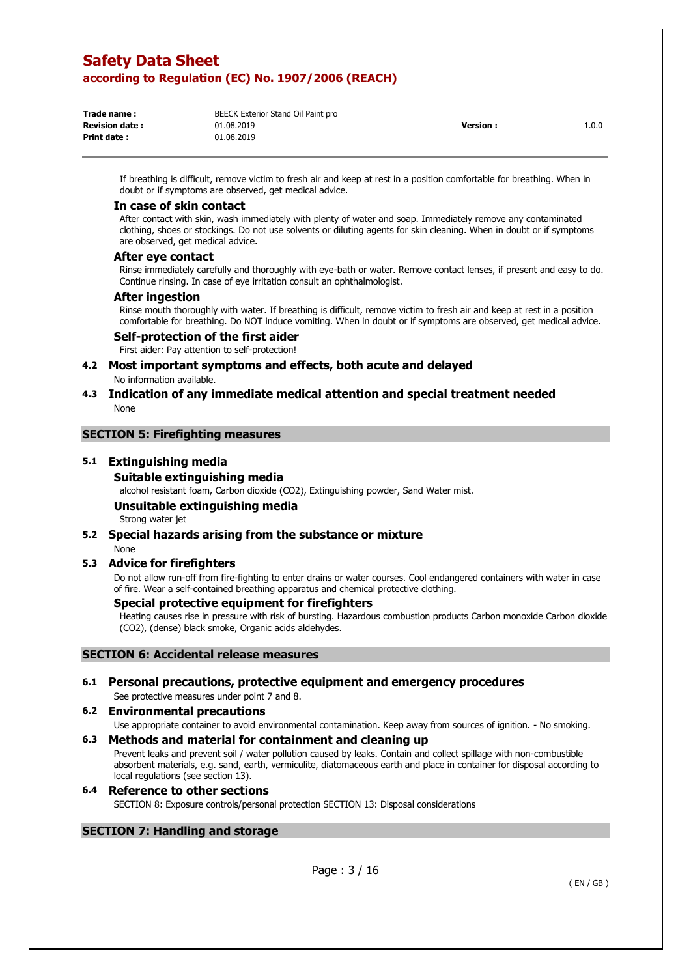| Trade name :           | BEECK Exterior Stand Oil Paint pro |                 |       |
|------------------------|------------------------------------|-----------------|-------|
| <b>Revision date :</b> | 01.08.2019                         | <b>Version:</b> | 1.0.0 |
| Print date :           | 01.08.2019                         |                 |       |
|                        |                                    |                 |       |

If breathing is difficult, remove victim to fresh air and keep at rest in a position comfortable for breathing. When in doubt or if symptoms are observed, get medical advice.

#### **In case of skin contact**

After contact with skin, wash immediately with plenty of water and soap. Immediately remove any contaminated clothing, shoes or stockings. Do not use solvents or diluting agents for skin cleaning. When in doubt or if symptoms are observed, get medical advice.

#### **After eye contact**

Rinse immediately carefully and thoroughly with eye-bath or water. Remove contact lenses, if present and easy to do. Continue rinsing. In case of eye irritation consult an ophthalmologist.

#### **After ingestion**

Rinse mouth thoroughly with water. If breathing is difficult, remove victim to fresh air and keep at rest in a position comfortable for breathing. Do NOT induce vomiting. When in doubt or if symptoms are observed, get medical advice.

#### **Self-protection of the first aider**

First aider: Pay attention to self-protection!

# **4.2 Most important symptoms and effects, both acute and delayed**

No information available.

### **4.3 Indication of any immediate medical attention and special treatment needed**  None

#### **SECTION 5: Firefighting measures**

#### **5.1 Extinguishing media**

#### **Suitable extinguishing media**

alcohol resistant foam, Carbon dioxide (CO2), Extinguishing powder, Sand Water mist.

## **Unsuitable extinguishing media**

Strong water jet

## **5.2 Special hazards arising from the substance or mixture**

#### None

### **5.3 Advice for firefighters**

Do not allow run-off from fire-fighting to enter drains or water courses. Cool endangered containers with water in case of fire. Wear a self-contained breathing apparatus and chemical protective clothing.

### **Special protective equipment for firefighters**

Heating causes rise in pressure with risk of bursting. Hazardous combustion products Carbon monoxide Carbon dioxide (CO2), (dense) black smoke, Organic acids aldehydes.

## **SECTION 6: Accidental release measures**

### **6.1 Personal precautions, protective equipment and emergency procedures**  See protective measures under point 7 and 8.

### **6.2 Environmental precautions**

Use appropriate container to avoid environmental contamination. Keep away from sources of ignition. - No smoking.

#### **6.3 Methods and material for containment and cleaning up**

Prevent leaks and prevent soil / water pollution caused by leaks. Contain and collect spillage with non-combustible absorbent materials, e.g. sand, earth, vermiculite, diatomaceous earth and place in container for disposal according to local regulations (see section 13).

#### **6.4 Reference to other sections**  SECTION 8: Exposure controls/personal protection SECTION 13: Disposal considerations

## **SECTION 7: Handling and storage**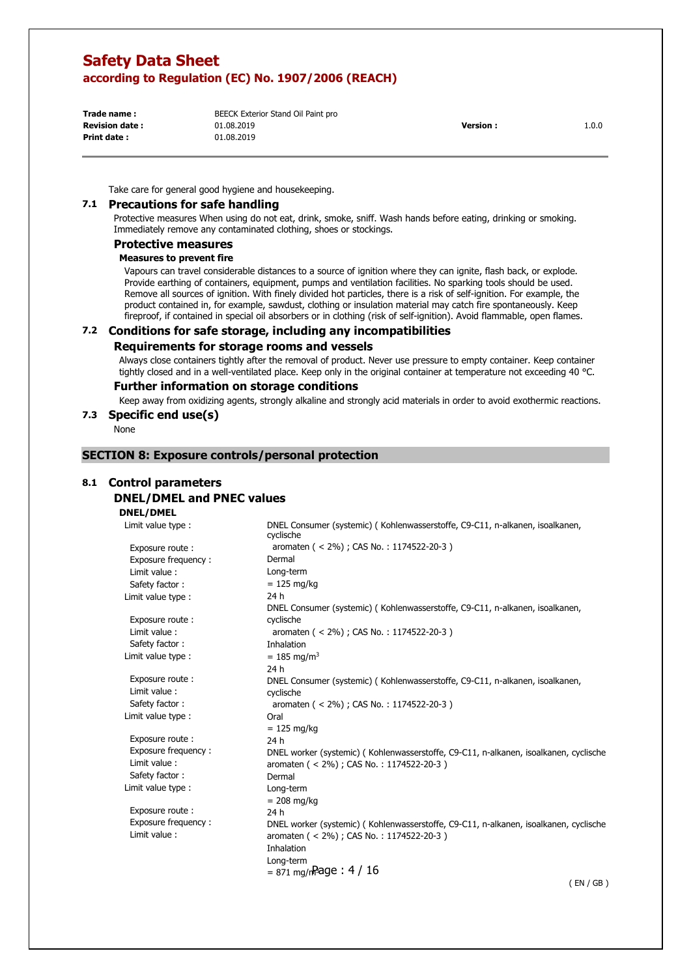**Print date :** 01.08.2019

**Trade name :** BEECK Exterior Stand Oil Paint pro **Revision date :** 01.08.2019 **Version :** 1.0.0

Take care for general good hygiene and housekeeping.

#### **7.1 Precautions for safe handling**

Protective measures When using do not eat, drink, smoke, sniff. Wash hands before eating, drinking or smoking. Immediately remove any contaminated clothing, shoes or stockings.

### **Protective measures**

## **Measures to prevent fire**

Vapours can travel considerable distances to a source of ignition where they can ignite, flash back, or explode. Provide earthing of containers, equipment, pumps and ventilation facilities. No sparking tools should be used. Remove all sources of ignition. With finely divided hot particles, there is a risk of self-ignition. For example, the product contained in, for example, sawdust, clothing or insulation material may catch fire spontaneously. Keep fireproof, if contained in special oil absorbers or in clothing (risk of self-ignition). Avoid flammable, open flames.

### **7.2 Conditions for safe storage, including any incompatibilities**

#### **Requirements for storage rooms and vessels**

Always close containers tightly after the removal of product. Never use pressure to empty container. Keep container tightly closed and in a well-ventilated place. Keep only in the original container at temperature not exceeding 40 °C.

#### **Further information on storage conditions**

Keep away from oxidizing agents, strongly alkaline and strongly acid materials in order to avoid exothermic reactions.

#### **7.3 Specific end use(s)**

None

### **SECTION 8: Exposure controls/personal protection**

## **8.1 Control parameters**

## **DNEL/DMEL and PNEC values**

**DNEL/DMEL** 

| Limit value type :  | DNEL Consumer (systemic) (Kohlenwasserstoffe, C9-C11, n-alkanen, isoalkanen,<br>cyclische |
|---------------------|-------------------------------------------------------------------------------------------|
| Exposure route:     | aromaten ( < 2%) ; CAS No.: 1174522-20-3)                                                 |
| Exposure frequency: | Dermal                                                                                    |
| Limit value:        | Long-term                                                                                 |
| Safety factor:      | $= 125$ mg/kg                                                                             |
| Limit value type :  | 24 h                                                                                      |
|                     | DNEL Consumer (systemic) (Kohlenwasserstoffe, C9-C11, n-alkanen, isoalkanen,              |
| Exposure route:     | cyclische                                                                                 |
| Limit value:        | aromaten ( < 2%) ; CAS No.: 1174522-20-3)                                                 |
| Safety factor:      | Inhalation                                                                                |
| Limit value type :  | $= 185$ mg/m <sup>3</sup>                                                                 |
|                     | 24 h                                                                                      |
| Exposure route:     | DNEL Consumer (systemic) (Kohlenwasserstoffe, C9-C11, n-alkanen, isoalkanen,              |
| Limit value:        | cyclische                                                                                 |
| Safety factor:      | aromaten ( < 2%) ; CAS No.: 1174522-20-3)                                                 |
| Limit value type :  | Oral                                                                                      |
|                     | $= 125$ mg/kg                                                                             |
| Exposure route:     | 24 h                                                                                      |
| Exposure frequency: | DNEL worker (systemic) (Kohlenwasserstoffe, C9-C11, n-alkanen, isoalkanen, cyclische      |
| Limit value:        | aromaten ( < 2%) ; CAS No.: 1174522-20-3)                                                 |
| Safety factor:      | Dermal                                                                                    |
| Limit value type :  | Long-term                                                                                 |
|                     | $= 208$ mg/kg                                                                             |
| Exposure route:     | 24 h                                                                                      |
| Exposure frequency: | DNEL worker (systemic) (Kohlenwasserstoffe, C9-C11, n-alkanen, isoalkanen, cyclische      |
| Limit value:        | aromaten ( < 2%) ; CAS No.: 1174522-20-3)                                                 |
|                     | Inhalation                                                                                |
|                     | Long-term                                                                                 |
|                     | $= 871$ mg/n <sup>2</sup> age : 4 / 16                                                    |

( EN / GB )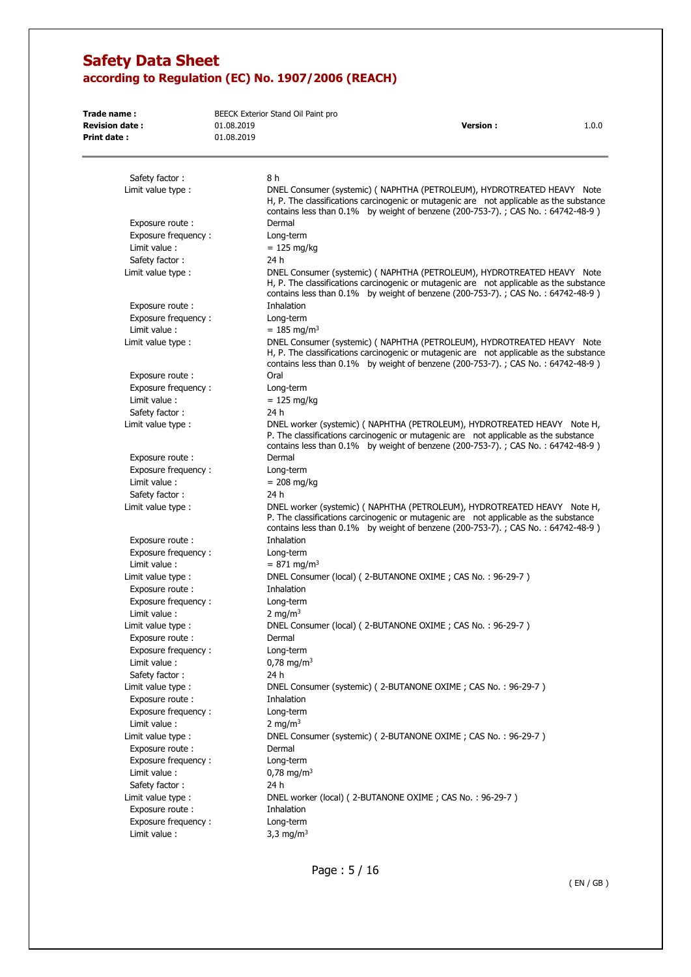| Trade name:                          |            | BEECK Exterior Stand Oil Paint pro                         |                                                                                                                                                                                                                                                       |       |
|--------------------------------------|------------|------------------------------------------------------------|-------------------------------------------------------------------------------------------------------------------------------------------------------------------------------------------------------------------------------------------------------|-------|
| <b>Revision date:</b>                | 01.08.2019 |                                                            | <b>Version:</b>                                                                                                                                                                                                                                       | 1.0.0 |
| <b>Print date:</b>                   | 01.08.2019 |                                                            |                                                                                                                                                                                                                                                       |       |
| Safety factor:                       |            | 8 h                                                        |                                                                                                                                                                                                                                                       |       |
| Limit value type :                   |            |                                                            | DNEL Consumer (systemic) (NAPHTHA (PETROLEUM), HYDROTREATED HEAVY Note<br>H, P. The classifications carcinogenic or mutagenic are not applicable as the substance<br>contains less than 0.1% by weight of benzene (200-753-7).; CAS No.: 64742-48-9)  |       |
| Exposure route:                      |            | Dermal                                                     |                                                                                                                                                                                                                                                       |       |
| Exposure frequency:<br>Limit value:  |            | Long-term<br>$= 125$ mg/kg                                 |                                                                                                                                                                                                                                                       |       |
| Safety factor:                       |            | 24 h                                                       |                                                                                                                                                                                                                                                       |       |
| Limit value type :                   |            |                                                            | DNEL Consumer (systemic) ( NAPHTHA (PETROLEUM), HYDROTREATED HEAVY Note<br>H, P. The classifications carcinogenic or mutagenic are not applicable as the substance<br>contains less than 0.1% by weight of benzene (200-753-7).; CAS No.: 64742-48-9) |       |
| Exposure route:                      |            | Inhalation                                                 |                                                                                                                                                                                                                                                       |       |
| Exposure frequency:                  |            | Long-term                                                  |                                                                                                                                                                                                                                                       |       |
| Limit value:                         |            | $= 185$ mg/m <sup>3</sup>                                  |                                                                                                                                                                                                                                                       |       |
| Limit value type :                   |            |                                                            | DNEL Consumer (systemic) (NAPHTHA (PETROLEUM), HYDROTREATED HEAVY Note<br>H, P. The classifications carcinogenic or mutagenic are not applicable as the substance<br>contains less than 0.1% by weight of benzene (200-753-7).; CAS No.: 64742-48-9)  |       |
| Exposure route:                      |            | Oral                                                       |                                                                                                                                                                                                                                                       |       |
| Exposure frequency:                  |            | Long-term                                                  |                                                                                                                                                                                                                                                       |       |
| Limit value:                         |            | $= 125$ mg/kg                                              |                                                                                                                                                                                                                                                       |       |
| Safety factor:                       |            | 24 h                                                       |                                                                                                                                                                                                                                                       |       |
| Limit value type :                   |            |                                                            | DNEL worker (systemic) (NAPHTHA (PETROLEUM), HYDROTREATED HEAVY Note H,<br>P. The classifications carcinogenic or mutagenic are not applicable as the substance<br>contains less than $0.1\%$ by weight of benzene (200-753-7).; CAS No.: 64742-48-9) |       |
| Exposure route:                      |            | Dermal                                                     |                                                                                                                                                                                                                                                       |       |
| Exposure frequency:                  |            | Long-term                                                  |                                                                                                                                                                                                                                                       |       |
| Limit value:                         |            | $= 208$ mg/kg                                              |                                                                                                                                                                                                                                                       |       |
| Safety factor:                       |            | 24 h                                                       |                                                                                                                                                                                                                                                       |       |
| Limit value type :                   |            |                                                            | DNEL worker (systemic) (NAPHTHA (PETROLEUM), HYDROTREATED HEAVY Note H,<br>P. The classifications carcinogenic or mutagenic are not applicable as the substance<br>contains less than 0.1% by weight of benzene (200-753-7).; CAS No.: 64742-48-9)    |       |
| Exposure route:                      |            | Inhalation                                                 |                                                                                                                                                                                                                                                       |       |
| Exposure frequency:                  |            | Long-term                                                  |                                                                                                                                                                                                                                                       |       |
| Limit value:                         |            | $= 871$ mg/m <sup>3</sup>                                  |                                                                                                                                                                                                                                                       |       |
| Limit value type :                   |            | DNEL Consumer (local) (2-BUTANONE OXIME; CAS No.: 96-29-7) |                                                                                                                                                                                                                                                       |       |
| Exposure route:                      |            | Inhalation                                                 |                                                                                                                                                                                                                                                       |       |
| Exposure frequency:<br>Limit value : |            | Long-term<br>2 mg/m <sup>3</sup>                           |                                                                                                                                                                                                                                                       |       |
| Limit value type :                   |            | DNEL Consumer (local) (2-BUTANONE OXIME; CAS No.: 96-29-7) |                                                                                                                                                                                                                                                       |       |
| Exposure route :                     |            | Dermal                                                     |                                                                                                                                                                                                                                                       |       |
| Exposure frequency:                  |            | Long-term                                                  |                                                                                                                                                                                                                                                       |       |
| Limit value:                         |            | $0,78 \text{ mg/m}^3$                                      |                                                                                                                                                                                                                                                       |       |
| Safety factor:                       |            | 24 h                                                       |                                                                                                                                                                                                                                                       |       |
| Limit value type :                   |            |                                                            | DNEL Consumer (systemic) (2-BUTANONE OXIME; CAS No.: 96-29-7)                                                                                                                                                                                         |       |
| Exposure route :                     |            | Inhalation                                                 |                                                                                                                                                                                                                                                       |       |
| Exposure frequency:                  |            | Long-term                                                  |                                                                                                                                                                                                                                                       |       |
| Limit value:<br>Limit value type :   |            | 2 mg/m <sup>3</sup>                                        | DNEL Consumer (systemic) (2-BUTANONE OXIME; CAS No.: 96-29-7)                                                                                                                                                                                         |       |
| Exposure route:                      |            | Dermal                                                     |                                                                                                                                                                                                                                                       |       |
| Exposure frequency:                  |            | Long-term                                                  |                                                                                                                                                                                                                                                       |       |
| Limit value:                         |            | $0,78 \text{ mg/m}^3$                                      |                                                                                                                                                                                                                                                       |       |
| Safety factor:                       |            | 24 h                                                       |                                                                                                                                                                                                                                                       |       |
| Limit value type :                   |            | DNEL worker (local) (2-BUTANONE OXIME; CAS No.: 96-29-7)   |                                                                                                                                                                                                                                                       |       |
| Exposure route :                     |            | Inhalation                                                 |                                                                                                                                                                                                                                                       |       |
| Exposure frequency:                  |            | Long-term                                                  |                                                                                                                                                                                                                                                       |       |
| Limit value:                         |            | 3,3 mg/m <sup>3</sup>                                      |                                                                                                                                                                                                                                                       |       |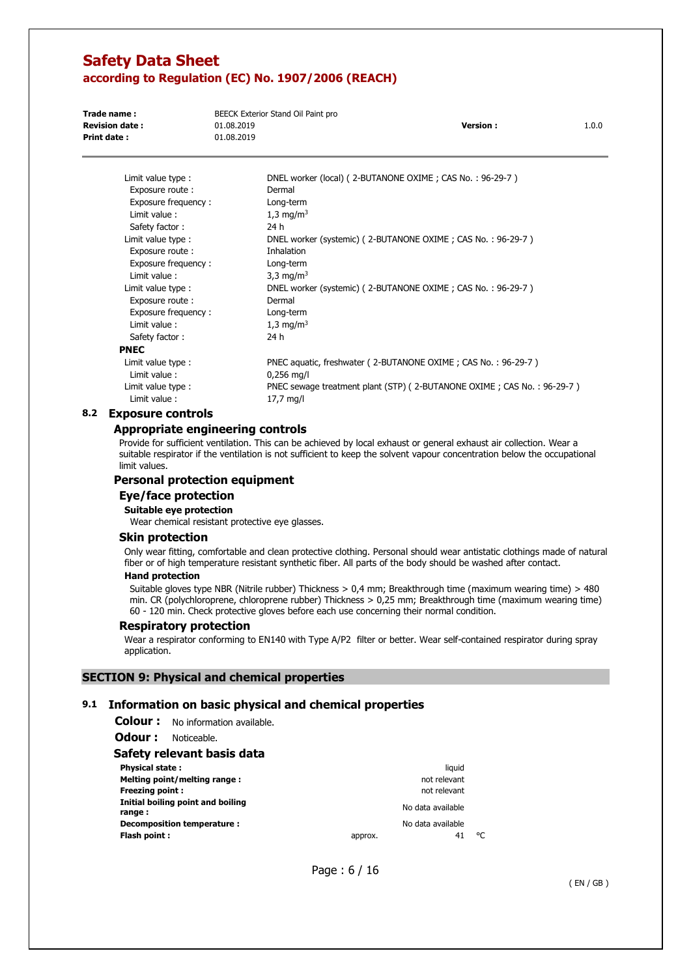| Trade name:           | BEECK Exterior Stand Oil Paint pro |                 |       |
|-----------------------|------------------------------------|-----------------|-------|
| <b>Revision date:</b> | 01.08.2019                         | <b>Version:</b> | 1.0.0 |
| Print date:           | 01.08.2019                         |                 |       |

| Limit value type :  | DNEL worker (local) (2-BUTANONE OXIME; CAS No.: 96-29-7)               |
|---------------------|------------------------------------------------------------------------|
| Exposure route :    | Dermal                                                                 |
| Exposure frequency: | Long-term                                                              |
| Limit value:        | 1,3 mg/m <sup>3</sup>                                                  |
| Safety factor:      | 24 h                                                                   |
| Limit value type :  | DNEL worker (systemic) (2-BUTANONE OXIME; CAS No.: 96-29-7)            |
| Exposure route:     | Inhalation                                                             |
| Exposure frequency: | Long-term                                                              |
| Limit value:        | 3,3 mg/m <sup>3</sup>                                                  |
| Limit value type :  | DNEL worker (systemic) (2-BUTANONE OXIME; CAS No.: 96-29-7)            |
| Exposure route:     | Dermal                                                                 |
| Exposure frequency: | Long-term                                                              |
| Limit value:        | 1,3 mg/m <sup>3</sup>                                                  |
| Safety factor:      | 24 h                                                                   |
| PNEC                |                                                                        |
| Limit value type :  | PNEC aquatic, freshwater (2-BUTANONE OXIME; CAS No.: 96-29-7)          |
| Limit value:        | $0,256$ mg/l                                                           |
| Limit value type :  | PNEC sewage treatment plant (STP) (2-BUTANONE OXIME; CAS No.: 96-29-7) |
| Limit value:        | 17,7 mg/l                                                              |
|                     |                                                                        |

### **8.2 Exposure controls**

### **Appropriate engineering controls**

Provide for sufficient ventilation. This can be achieved by local exhaust or general exhaust air collection. Wear a suitable respirator if the ventilation is not sufficient to keep the solvent vapour concentration below the occupational limit values.

#### **Personal protection equipment**

## **Eye/face protection**

**Suitable eye protection** 

Wear chemical resistant protective eye glasses.

#### **Skin protection**

Only wear fitting, comfortable and clean protective clothing. Personal should wear antistatic clothings made of natural fiber or of high temperature resistant synthetic fiber. All parts of the body should be washed after contact.

#### **Hand protection**

Suitable gloves type NBR (Nitrile rubber) Thickness > 0,4 mm; Breakthrough time (maximum wearing time) > 480 min. CR (polychloroprene, chloroprene rubber) Thickness > 0,25 mm; Breakthrough time (maximum wearing time) 60 - 120 min. Check protective gloves before each use concerning their normal condition.

#### **Respiratory protection**

Wear a respirator conforming to EN140 with Type A/P2 filter or better. Wear self-contained respirator during spray application.

#### **SECTION 9: Physical and chemical properties**

## **9.1 Information on basic physical and chemical properties**

**Colour :** No information available.

**Odour :** Noticeable.

### **Safety relevant basis data**

| <b>Physical state:</b>                      |         | liauid            |    |
|---------------------------------------------|---------|-------------------|----|
| Melting point/melting range:                |         | not relevant      |    |
| <b>Freezing point:</b>                      |         | not relevant      |    |
| Initial boiling point and boiling<br>range: |         | No data available |    |
| Decomposition temperature :                 |         | No data available |    |
| Flash point:                                | approx. | 41                | ۹۲ |

Page : 6 / 16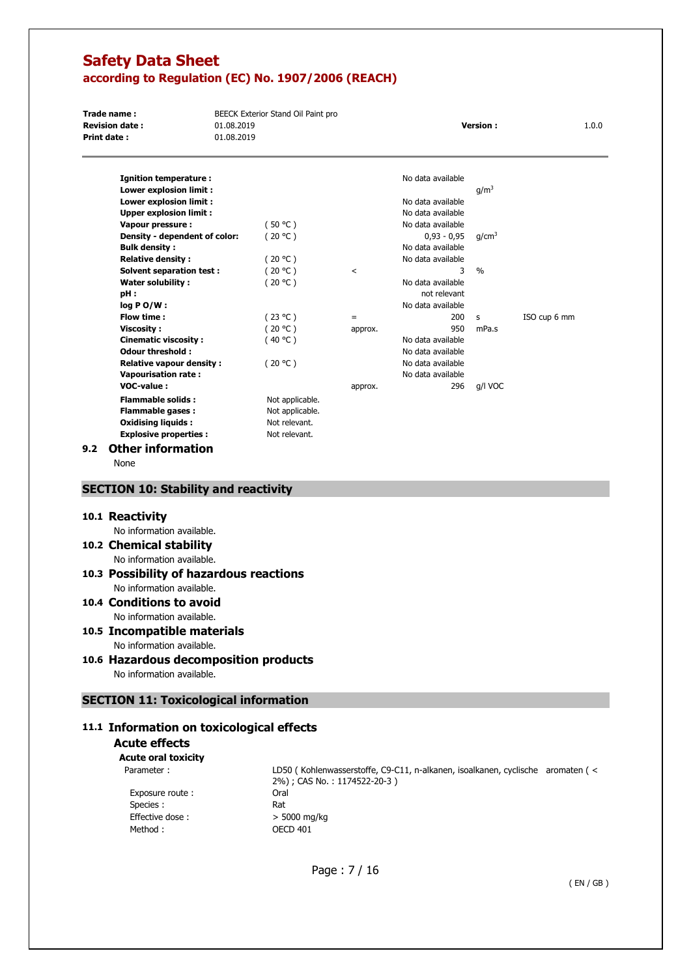**Trade name : BEECK Exterior Stand Oil Paint pro Revision date :** 01.08.2019 **Version :** 1.0.0 **Print date :** 01.08.2019

| Ignition temperature :          |                 |         | No data available |                   |              |
|---------------------------------|-----------------|---------|-------------------|-------------------|--------------|
| Lower explosion limit :         |                 |         |                   | q/m <sup>3</sup>  |              |
| Lower explosion limit :         |                 |         | No data available |                   |              |
| <b>Upper explosion limit:</b>   |                 |         | No data available |                   |              |
| Vapour pressure :               | (50 °C)         |         | No data available |                   |              |
| Density - dependent of color:   | (20 °C)         |         | $0.93 - 0.95$     | g/cm <sup>3</sup> |              |
| <b>Bulk density :</b>           |                 |         | No data available |                   |              |
| <b>Relative density:</b>        | (20 °C)         |         | No data available |                   |              |
| Solvent separation test:        | (20 °C)         | $\,<\,$ | 3                 | $\frac{0}{0}$     |              |
| Water solubility :              | (20 °C )        |         | No data available |                   |              |
| pH:                             |                 |         | not relevant      |                   |              |
| log P O/W :                     |                 |         | No data available |                   |              |
| Flow time:                      | (23 °C)         | $=$     | 200               | s                 | ISO cup 6 mm |
| <b>Viscosity:</b>               | (20 °C)         | approx. | 950               | mPa.s             |              |
| Cinematic viscosity:            | (40 °C)         |         | No data available |                   |              |
| Odour threshold:                |                 |         | No data available |                   |              |
| <b>Relative vapour density:</b> | (20 °C)         |         | No data available |                   |              |
| <b>Vapourisation rate:</b>      |                 |         | No data available |                   |              |
| VOC-value:                      |                 | approx. | 296               | g/l VOC           |              |
| <b>Flammable solids:</b>        | Not applicable. |         |                   |                   |              |
| <b>Flammable gases:</b>         | Not applicable. |         |                   |                   |              |
| Oxidising liquids :             | Not relevant.   |         |                   |                   |              |

### **9.2 Other information**

None

## **SECTION 10: Stability and reactivity**

**Explosive properties :** Not relevant.

#### **10.1 Reactivity**

No information available.

**10.2 Chemical stability** 

No information available.

#### **10.3 Possibility of hazardous reactions**  No information available.

# **10.4 Conditions to avoid**

No information available.

#### **10.5 Incompatible materials**  No information available.

## **10.6 Hazardous decomposition products**

No information available.

## **SECTION 11: Toxicological information**

## **11.1 Information on toxicological effects**

## **Acute effects**

**Acute oral toxicity**  Parameter :

> Exposure route : Species : Effective dose :  $> 5000 \text{ mg/kg}$ Method : OECD 401

LD50 ( Kohlenwasserstoffe, C9-C11, n-alkanen, isoalkanen, cyclische aromaten ( < 2%) ; CAS No. : 1174522-20-3 ) Oral Rat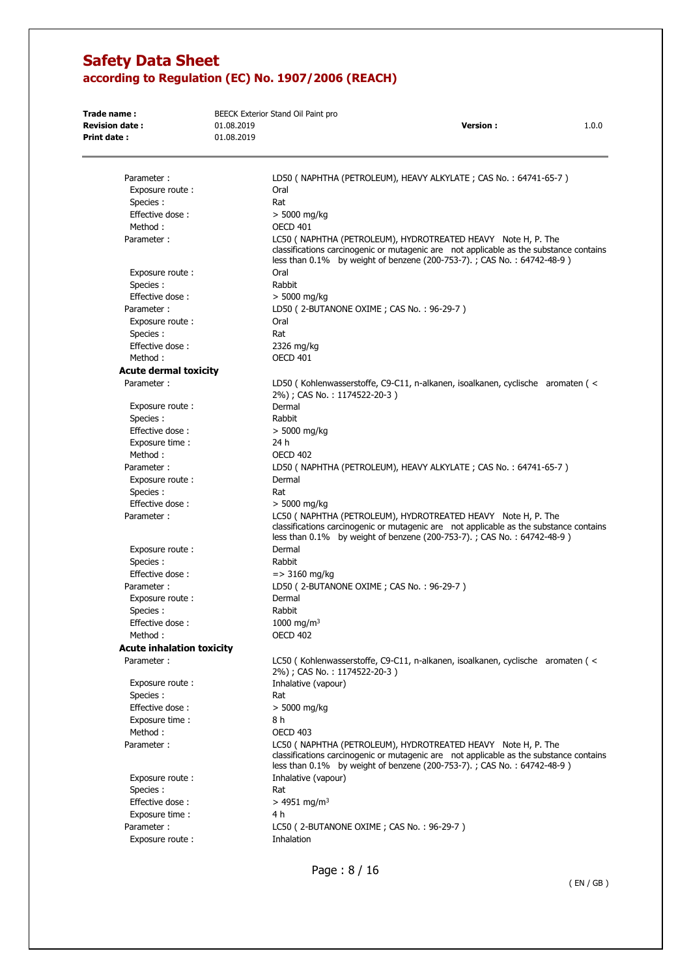| Trade name:<br><b>Revision date:</b><br>Print date: | 01.08.2019<br>01.08.2019 | BEECK Exterior Stand Oil Paint pro<br><b>Version:</b><br>1.0.0                                                                                                                                                                    |
|-----------------------------------------------------|--------------------------|-----------------------------------------------------------------------------------------------------------------------------------------------------------------------------------------------------------------------------------|
|                                                     |                          |                                                                                                                                                                                                                                   |
| Parameter:                                          |                          | LD50 ( NAPHTHA (PETROLEUM), HEAVY ALKYLATE; CAS No.: 64741-65-7)                                                                                                                                                                  |
| Exposure route:                                     |                          | Oral                                                                                                                                                                                                                              |
| Species :                                           |                          | Rat                                                                                                                                                                                                                               |
| Effective dose:                                     |                          | $>$ 5000 mg/kg                                                                                                                                                                                                                    |
| Method:                                             |                          | <b>OECD 401</b>                                                                                                                                                                                                                   |
| Parameter:                                          |                          | LC50 ( NAPHTHA (PETROLEUM), HYDROTREATED HEAVY Note H, P. The<br>classifications carcinogenic or mutagenic are not applicable as the substance contains<br>less than 0.1% by weight of benzene (200-753-7).; CAS No.: 64742-48-9) |
| Exposure route:                                     |                          | Oral                                                                                                                                                                                                                              |
| Species :                                           |                          | Rabbit                                                                                                                                                                                                                            |
| Effective dose:                                     |                          | $>$ 5000 mg/kg                                                                                                                                                                                                                    |
| Parameter:                                          |                          | LD50 (2-BUTANONE OXIME; CAS No.: 96-29-7)                                                                                                                                                                                         |
| Exposure route:                                     |                          | Oral                                                                                                                                                                                                                              |
| Species :                                           |                          | Rat                                                                                                                                                                                                                               |
| Effective dose:                                     |                          | 2326 mg/kg                                                                                                                                                                                                                        |
| Method:                                             |                          | <b>OECD 401</b>                                                                                                                                                                                                                   |
| <b>Acute dermal toxicity</b>                        |                          |                                                                                                                                                                                                                                   |
| Parameter:                                          |                          | LD50 (Kohlenwasserstoffe, C9-C11, n-alkanen, isoalkanen, cyclische aromaten (<                                                                                                                                                    |
|                                                     |                          | 2%); CAS No.: 1174522-20-3)                                                                                                                                                                                                       |
| Exposure route:                                     |                          | Dermal                                                                                                                                                                                                                            |
| Species :                                           |                          | Rabbit                                                                                                                                                                                                                            |
| Effective dose:                                     |                          | $> 5000$ mg/kg                                                                                                                                                                                                                    |
| Exposure time:                                      |                          | 24 h                                                                                                                                                                                                                              |
| Method:                                             |                          | <b>OECD 402</b>                                                                                                                                                                                                                   |
| Parameter:                                          |                          | LD50 ( NAPHTHA (PETROLEUM), HEAVY ALKYLATE; CAS No.: 64741-65-7 )                                                                                                                                                                 |
| Exposure route:                                     |                          | Dermal                                                                                                                                                                                                                            |
| Species :                                           |                          | Rat                                                                                                                                                                                                                               |
| Effective dose:                                     |                          | > 5000 mg/kg                                                                                                                                                                                                                      |
| Parameter:                                          |                          | LC50 ( NAPHTHA (PETROLEUM), HYDROTREATED HEAVY Note H, P. The<br>classifications carcinogenic or mutagenic are not applicable as the substance contains<br>less than 0.1% by weight of benzene (200-753-7).; CAS No.: 64742-48-9) |
| Exposure route:                                     |                          | Dermal                                                                                                                                                                                                                            |
| Species :                                           |                          | Rabbit                                                                                                                                                                                                                            |
| Effective dose:                                     |                          | $=$ > 3160 mg/kg                                                                                                                                                                                                                  |
| Parameter:                                          |                          | LD50 (2-BUTANONE OXIME; CAS No.: 96-29-7)                                                                                                                                                                                         |
| Exposure route:                                     |                          | Dermal                                                                                                                                                                                                                            |
| Species :                                           |                          | Rabbit                                                                                                                                                                                                                            |
| Effective dose:                                     |                          | 1000 mg/m <sup>3</sup>                                                                                                                                                                                                            |
| Method:                                             |                          | <b>OECD 402</b>                                                                                                                                                                                                                   |
| <b>Acute inhalation toxicity</b>                    |                          |                                                                                                                                                                                                                                   |
| Parameter:                                          |                          | LC50 (Kohlenwasserstoffe, C9-C11, n-alkanen, isoalkanen, cyclische aromaten (<<br>2%); CAS No.: 1174522-20-3)                                                                                                                     |
| Exposure route:                                     |                          | Inhalative (vapour)                                                                                                                                                                                                               |
| Species :                                           |                          | Rat                                                                                                                                                                                                                               |
| Effective dose:                                     |                          | $> 5000$ mg/kg                                                                                                                                                                                                                    |
| Exposure time:                                      |                          | 8 h                                                                                                                                                                                                                               |
| Method:                                             |                          | <b>OECD 403</b>                                                                                                                                                                                                                   |
| Parameter:                                          |                          | LC50 ( NAPHTHA (PETROLEUM), HYDROTREATED HEAVY Note H, P. The<br>classifications carcinogenic or mutagenic are not applicable as the substance contains<br>less than 0.1% by weight of benzene (200-753-7).; CAS No.: 64742-48-9) |
| Exposure route:                                     |                          | Inhalative (vapour)                                                                                                                                                                                                               |
| Species :                                           |                          | Rat                                                                                                                                                                                                                               |
| Effective dose:                                     |                          | $> 4951$ mg/m <sup>3</sup>                                                                                                                                                                                                        |
| Exposure time:                                      |                          | 4 h                                                                                                                                                                                                                               |
| Parameter:                                          |                          | LC50 (2-BUTANONE OXIME; CAS No.: 96-29-7)                                                                                                                                                                                         |
| Exposure route:                                     |                          | Inhalation                                                                                                                                                                                                                        |
|                                                     |                          |                                                                                                                                                                                                                                   |

Page : 8 / 16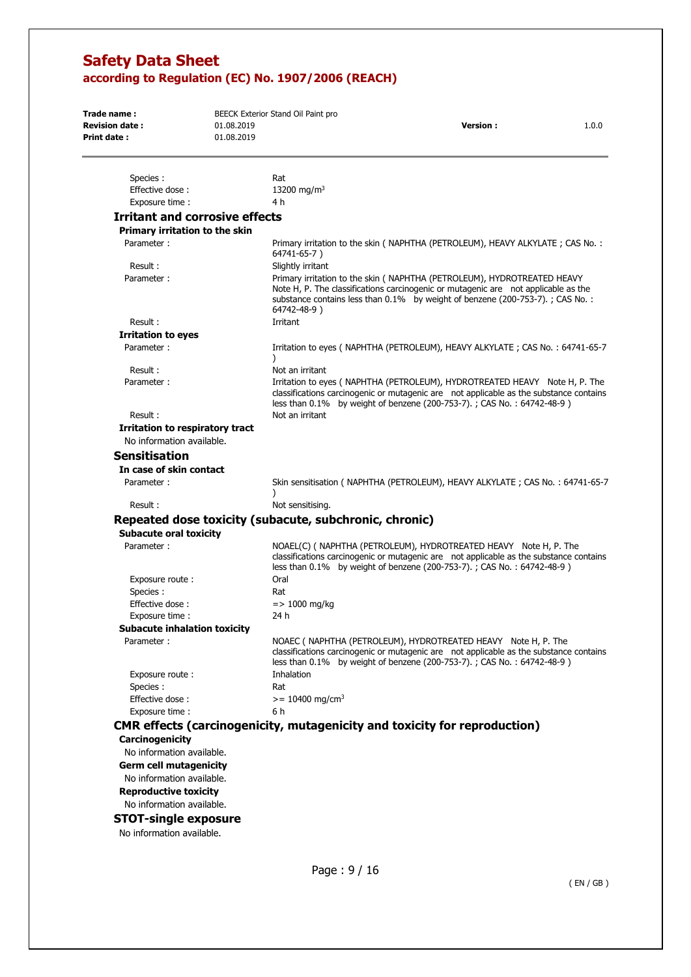| Trade name:<br><b>Revision date:</b>                                                       | 01.08.2019 | BEECK Exterior Stand Oil Paint pro                     | <b>Version:</b>                                                                                                                                                                                                                                | 1.0.0 |
|--------------------------------------------------------------------------------------------|------------|--------------------------------------------------------|------------------------------------------------------------------------------------------------------------------------------------------------------------------------------------------------------------------------------------------------|-------|
| Print date:                                                                                | 01.08.2019 |                                                        |                                                                                                                                                                                                                                                |       |
| Species :                                                                                  |            | Rat                                                    |                                                                                                                                                                                                                                                |       |
| Effective dose:                                                                            |            | 13200 mg/m <sup>3</sup>                                |                                                                                                                                                                                                                                                |       |
| Exposure time:                                                                             |            | 4 h                                                    |                                                                                                                                                                                                                                                |       |
| <b>Irritant and corrosive effects</b>                                                      |            |                                                        |                                                                                                                                                                                                                                                |       |
| Primary irritation to the skin                                                             |            |                                                        |                                                                                                                                                                                                                                                |       |
| Parameter:                                                                                 |            | 64741-65-7)                                            | Primary irritation to the skin (NAPHTHA (PETROLEUM), HEAVY ALKYLATE; CAS No.:                                                                                                                                                                  |       |
| Result:                                                                                    |            | Slightly irritant                                      |                                                                                                                                                                                                                                                |       |
| Parameter:                                                                                 |            | 64742-48-9)                                            | Primary irritation to the skin (NAPHTHA (PETROLEUM), HYDROTREATED HEAVY<br>Note H, P. The classifications carcinogenic or mutagenic are not applicable as the<br>substance contains less than 0.1% by weight of benzene (200-753-7).; CAS No.: |       |
| Result:                                                                                    |            | Irritant                                               |                                                                                                                                                                                                                                                |       |
| <b>Irritation to eyes</b>                                                                  |            |                                                        |                                                                                                                                                                                                                                                |       |
| Parameter:                                                                                 |            |                                                        | Irritation to eyes (NAPHTHA (PETROLEUM), HEAVY ALKYLATE; CAS No.: 64741-65-7                                                                                                                                                                   |       |
| Result:<br>Parameter:                                                                      |            | Not an irritant                                        | Irritation to eyes (NAPHTHA (PETROLEUM), HYDROTREATED HEAVY Note H, P. The<br>classifications carcinogenic or mutagenic are not applicable as the substance contains<br>less than 0.1% by weight of benzene (200-753-7).; CAS No.: 64742-48-9) |       |
| Result:                                                                                    |            | Not an irritant                                        |                                                                                                                                                                                                                                                |       |
| Irritation to respiratory tract<br>No information available.                               |            |                                                        |                                                                                                                                                                                                                                                |       |
| <b>Sensitisation</b>                                                                       |            |                                                        |                                                                                                                                                                                                                                                |       |
|                                                                                            |            |                                                        |                                                                                                                                                                                                                                                |       |
| In case of skin contact<br>Parameter:                                                      |            | $\lambda$                                              | Skin sensitisation (NAPHTHA (PETROLEUM), HEAVY ALKYLATE; CAS No.: 64741-65-7                                                                                                                                                                   |       |
| Result:                                                                                    |            | Not sensitising.                                       |                                                                                                                                                                                                                                                |       |
|                                                                                            |            | Repeated dose toxicity (subacute, subchronic, chronic) |                                                                                                                                                                                                                                                |       |
| <b>Subacute oral toxicity</b>                                                              |            |                                                        |                                                                                                                                                                                                                                                |       |
| Parameter:                                                                                 |            |                                                        | NOAEL(C) ( NAPHTHA (PETROLEUM), HYDROTREATED HEAVY  Note H, P. The<br>classifications carcinogenic or mutagenic are not applicable as the substance contains<br>less than 0.1% by weight of benzene (200-753-7).; CAS No.: 64742-48-9)         |       |
| Exposure route:<br>Species :                                                               |            | Oral<br>Rat                                            |                                                                                                                                                                                                                                                |       |
| Effective dose:                                                                            |            | $=$ > 1000 mg/kg                                       |                                                                                                                                                                                                                                                |       |
| Exposure time :                                                                            |            | 24 h                                                   |                                                                                                                                                                                                                                                |       |
| <b>Subacute inhalation toxicity</b>                                                        |            |                                                        |                                                                                                                                                                                                                                                |       |
| Parameter:                                                                                 |            |                                                        | NOAEC ( NAPHTHA (PETROLEUM), HYDROTREATED HEAVY Note H, P. The<br>classifications carcinogenic or mutagenic are not applicable as the substance contains<br>less than 0.1% by weight of benzene (200-753-7).; CAS No.: 64742-48-9)             |       |
| Exposure route:<br>Species :                                                               |            | Inhalation<br>Rat                                      |                                                                                                                                                                                                                                                |       |
| Effective dose:                                                                            |            | $>= 10400$ mg/cm <sup>3</sup>                          |                                                                                                                                                                                                                                                |       |
| Exposure time:                                                                             |            | 6 h                                                    |                                                                                                                                                                                                                                                |       |
|                                                                                            |            |                                                        | <b>CMR effects (carcinogenicity, mutagenicity and toxicity for reproduction)</b>                                                                                                                                                               |       |
| Carcinogenicity                                                                            |            |                                                        |                                                                                                                                                                                                                                                |       |
| No information available.                                                                  |            |                                                        |                                                                                                                                                                                                                                                |       |
| <b>Germ cell mutagenicity</b><br>No information available.<br><b>Reproductive toxicity</b> |            |                                                        |                                                                                                                                                                                                                                                |       |
| No information available.                                                                  |            |                                                        |                                                                                                                                                                                                                                                |       |
| CTOT cinelo ovnocuro                                                                       |            |                                                        |                                                                                                                                                                                                                                                |       |

### **STOT-single exposure**

No information available.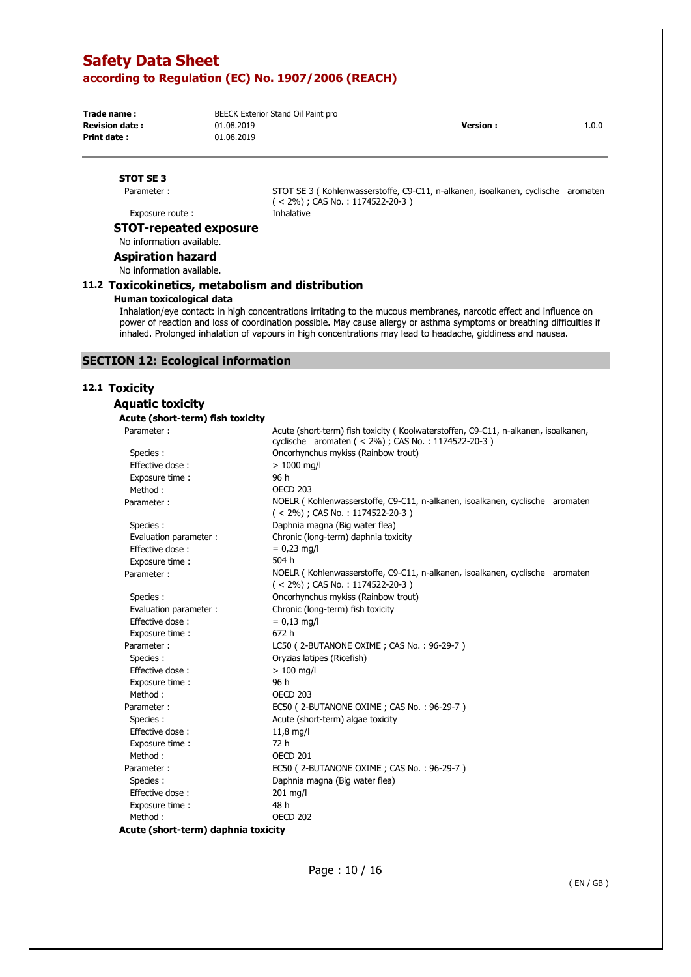**Print date :** 01.08.2019

**Trade name : BEECK Exterior Stand Oil Paint pro Revision date :** 01.08.2019 **Version :** 1.0.0

## **STOT SE 3**

Parameter :

STOT SE 3 ( Kohlenwasserstoffe, C9-C11, n-alkanen, isoalkanen, cyclische aromaten ( < 2%) ; CAS No. : 1174522-20-3 ) Inhalative

Exposure route :

## **STOT-repeated exposure**

No information available.

**Aspiration hazard**  No information available.

## **11.2 Toxicokinetics, metabolism and distribution**

### **Human toxicological data**

Inhalation/eye contact: in high concentrations irritating to the mucous membranes, narcotic effect and influence on power of reaction and loss of coordination possible. May cause allergy or asthma symptoms or breathing difficulties if inhaled. Prolonged inhalation of vapours in high concentrations may lead to headache, giddiness and nausea.

## **SECTION 12: Ecological information**

## **12.1 Toxicity**

**Aquatic toxicity** 

#### **Acute (short-term) fish toxicity**

| Parameter:               | Acute (short-term) fish toxicity (Koolwaterstoffen, C9-C11, n-alkanen, isoalkanen,<br>cyclische aromaten (< 2%); CAS No.: 1174522-20-3) |
|--------------------------|-----------------------------------------------------------------------------------------------------------------------------------------|
| Species :                | Oncorhynchus mykiss (Rainbow trout)                                                                                                     |
| Effective dose:          | $> 1000$ mg/l                                                                                                                           |
| Exposure time:           | 96 h                                                                                                                                    |
| Method:                  | <b>OECD 203</b>                                                                                                                         |
| Parameter:               | NOELR (Kohlenwasserstoffe, C9-C11, n-alkanen, isoalkanen, cyclische aromaten<br>$(< 2\%)$ ; CAS No.: 1174522-20-3)                      |
| Species :                | Daphnia magna (Big water flea)                                                                                                          |
| Evaluation parameter :   | Chronic (long-term) daphnia toxicity                                                                                                    |
| Effective dose:          | $= 0.23$ mg/l                                                                                                                           |
| Exposure time :          | 504 h                                                                                                                                   |
| Parameter:               | NOELR (Kohlenwasserstoffe, C9-C11, n-alkanen, isoalkanen, cyclische aromaten<br>$(< 2\%)$ ; CAS No.: 1174522-20-3)                      |
| Species :                | Oncorhynchus mykiss (Rainbow trout)                                                                                                     |
| Evaluation parameter :   | Chronic (long-term) fish toxicity                                                                                                       |
| Effective dose:          | $= 0.13$ mg/l                                                                                                                           |
| Exposure time:           | 672h                                                                                                                                    |
| Parameter:               | LC50 (2-BUTANONE OXIME; CAS No.: 96-29-7)                                                                                               |
| Species :                | Oryzias latipes (Ricefish)                                                                                                              |
| Effective dose:          | $>100$ mg/l                                                                                                                             |
| Exposure time:           | 96 h                                                                                                                                    |
| Method:                  | OECD <sub>203</sub>                                                                                                                     |
| Parameter:               | EC50 (2-BUTANONE OXIME; CAS No.: 96-29-7)                                                                                               |
| Species:                 | Acute (short-term) algae toxicity                                                                                                       |
| Effective dose:          | $11,8$ mg/l                                                                                                                             |
| Exposure time :          | 72 h                                                                                                                                    |
| Method:                  | OECD 201                                                                                                                                |
| Parameter:               | EC50 (2-BUTANONE OXIME; CAS No.: 96-29-7)                                                                                               |
| Species :                | Daphnia magna (Big water flea)                                                                                                          |
| Effective dose:          | 201 mg/l                                                                                                                                |
| Exposure time:           | 48 h                                                                                                                                    |
| Method:<br>$\cdots$<br>. | <b>OECD 202</b>                                                                                                                         |

**Acute (short-term) daphnia toxicity**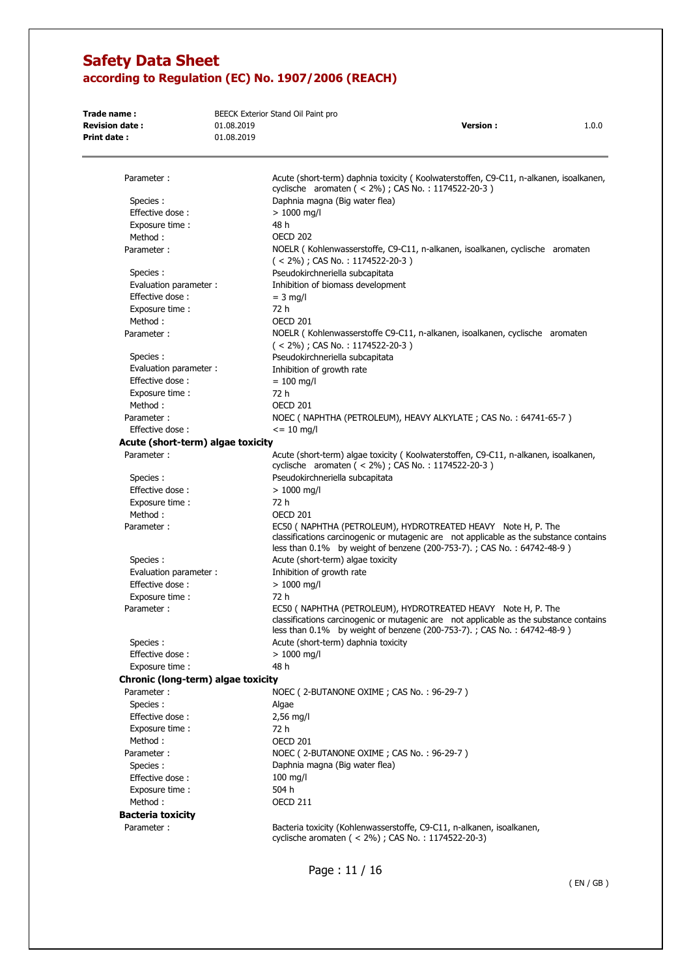| Trade name:<br><b>Revision date:</b><br>Print date: | 01.08.2019<br>01.08.2019 | BEECK Exterior Stand Oil Paint pro<br>1.0.0<br><b>Version:</b>                                                                                                                                                                    |  |
|-----------------------------------------------------|--------------------------|-----------------------------------------------------------------------------------------------------------------------------------------------------------------------------------------------------------------------------------|--|
| Parameter:                                          |                          | Acute (short-term) daphnia toxicity (Koolwaterstoffen, C9-C11, n-alkanen, isoalkanen,                                                                                                                                             |  |
|                                                     |                          | cyclische aromaten (< 2%); CAS No.: 1174522-20-3)                                                                                                                                                                                 |  |
| Species :                                           |                          | Daphnia magna (Big water flea)                                                                                                                                                                                                    |  |
| Effective dose:                                     |                          | $>1000$ mg/l                                                                                                                                                                                                                      |  |
| Exposure time:                                      |                          | 48 h                                                                                                                                                                                                                              |  |
| Method:                                             |                          | <b>OECD 202</b>                                                                                                                                                                                                                   |  |
| Parameter:                                          |                          | NOELR (Kohlenwasserstoffe, C9-C11, n-alkanen, isoalkanen, cyclische aromaten<br>$(< 2\%)$ ; CAS No.: 1174522-20-3)                                                                                                                |  |
| Species :                                           |                          | Pseudokirchneriella subcapitata                                                                                                                                                                                                   |  |
| Evaluation parameter :                              |                          | Inhibition of biomass development                                                                                                                                                                                                 |  |
| Effective dose:                                     |                          | $=$ 3 mg/l                                                                                                                                                                                                                        |  |
| Exposure time:                                      |                          | 72 h                                                                                                                                                                                                                              |  |
| Method:                                             |                          | OECD 201                                                                                                                                                                                                                          |  |
| Parameter:                                          |                          | NOELR (Kohlenwasserstoffe C9-C11, n-alkanen, isoalkanen, cyclische aromaten<br>$(< 2\%)$ ; CAS No.: 1174522-20-3)                                                                                                                 |  |
| Species :                                           |                          | Pseudokirchneriella subcapitata                                                                                                                                                                                                   |  |
| Evaluation parameter :                              |                          | Inhibition of growth rate                                                                                                                                                                                                         |  |
| Effective dose:                                     |                          | $= 100$ mg/l                                                                                                                                                                                                                      |  |
| Exposure time:                                      |                          | 72 h                                                                                                                                                                                                                              |  |
| Method:                                             |                          | <b>OECD 201</b>                                                                                                                                                                                                                   |  |
| Parameter:                                          |                          | NOEC ( NAPHTHA (PETROLEUM), HEAVY ALKYLATE ; CAS No. : 64741-65-7 )                                                                                                                                                               |  |
| Effective dose:                                     |                          | $\epsilon$ = 10 mg/l                                                                                                                                                                                                              |  |
| Acute (short-term) algae toxicity                   |                          |                                                                                                                                                                                                                                   |  |
| Parameter:                                          |                          | Acute (short-term) algae toxicity (Koolwaterstoffen, C9-C11, n-alkanen, isoalkanen,<br>cyclische aromaten (< 2%) ; CAS No. : 1174522-20-3)                                                                                        |  |
| Species:                                            |                          | Pseudokirchneriella subcapitata                                                                                                                                                                                                   |  |
| Effective dose:                                     |                          | $>1000$ mg/l                                                                                                                                                                                                                      |  |
| Exposure time:                                      |                          | 72 h                                                                                                                                                                                                                              |  |
| Method:                                             |                          | OECD 201                                                                                                                                                                                                                          |  |
| Parameter:                                          |                          | EC50 ( NAPHTHA (PETROLEUM), HYDROTREATED HEAVY Note H, P. The<br>classifications carcinogenic or mutagenic are not applicable as the substance contains<br>less than 0.1% by weight of benzene (200-753-7).; CAS No.: 64742-48-9) |  |
| Species :                                           |                          | Acute (short-term) algae toxicity                                                                                                                                                                                                 |  |
| Evaluation parameter :                              |                          | Inhibition of growth rate                                                                                                                                                                                                         |  |
| Effective dose:                                     |                          | $> 1000$ mg/l                                                                                                                                                                                                                     |  |
| Exposure time :                                     |                          | 72 h                                                                                                                                                                                                                              |  |
| Parameter:                                          |                          | EC50 ( NAPHTHA (PETROLEUM), HYDROTREATED HEAVY Note H, P. The<br>classifications carcinogenic or mutagenic are not applicable as the substance contains<br>less than 0.1% by weight of benzene (200-753-7).; CAS No.: 64742-48-9) |  |
| Species :                                           |                          | Acute (short-term) daphnia toxicity                                                                                                                                                                                               |  |
| Effective dose:                                     |                          | $>1000$ mg/l                                                                                                                                                                                                                      |  |
| Exposure time:                                      |                          | 48 h                                                                                                                                                                                                                              |  |
| Chronic (long-term) algae toxicity                  |                          |                                                                                                                                                                                                                                   |  |
| Parameter:                                          |                          | NOEC (2-BUTANONE OXIME; CAS No.: 96-29-7)                                                                                                                                                                                         |  |
| Species:                                            |                          | Algae                                                                                                                                                                                                                             |  |
| Effective dose:                                     |                          | $2,56$ mg/l                                                                                                                                                                                                                       |  |
| Exposure time :                                     |                          | 72 h                                                                                                                                                                                                                              |  |
| Method:                                             |                          | OECD 201                                                                                                                                                                                                                          |  |
| Parameter:                                          |                          | NOEC (2-BUTANONE OXIME; CAS No.: 96-29-7)                                                                                                                                                                                         |  |
| Species:                                            |                          | Daphnia magna (Big water flea)                                                                                                                                                                                                    |  |
| Effective dose:                                     |                          | $100$ mg/l                                                                                                                                                                                                                        |  |
| Exposure time:                                      |                          | 504 h                                                                                                                                                                                                                             |  |
| Method:                                             |                          | <b>OECD 211</b>                                                                                                                                                                                                                   |  |
| <b>Bacteria toxicity</b>                            |                          |                                                                                                                                                                                                                                   |  |
| Parameter:                                          |                          | Bacteria toxicity (Kohlenwasserstoffe, C9-C11, n-alkanen, isoalkanen,<br>cyclische aromaten (< 2%); CAS No.: 1174522-20-3)                                                                                                        |  |

Page : 11 / 16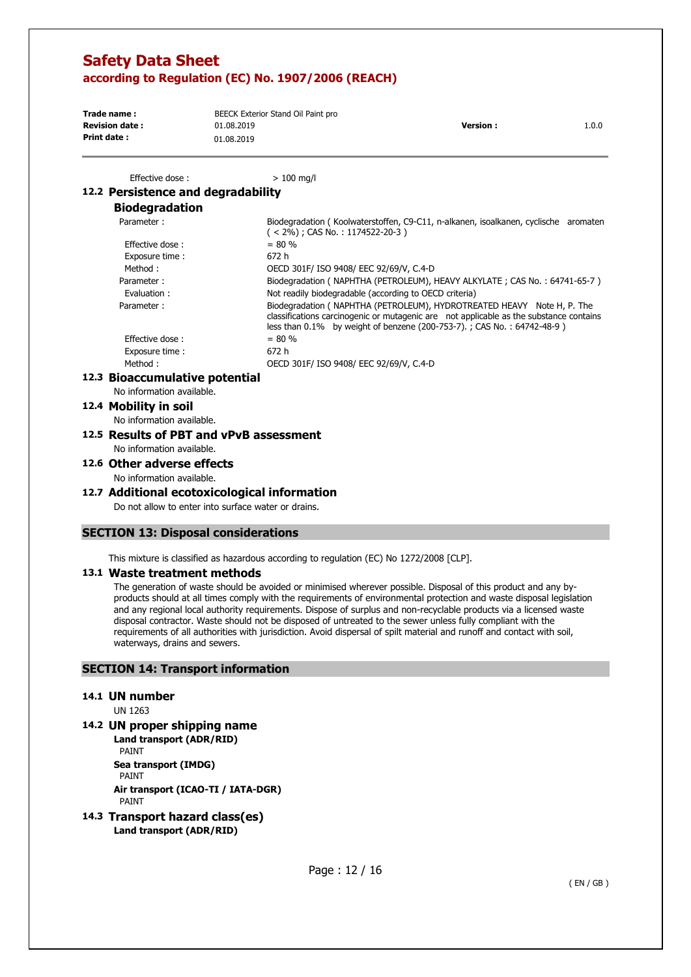| Trade name:           | BEECK Exterior Stand Oil Paint pro |                  |       |
|-----------------------|------------------------------------|------------------|-------|
| <b>Revision date:</b> | 01.08.2019                         | <b>Version</b> : | 1.0.0 |
| Print date:           | 01.08.2019                         |                  |       |

Effective dose :  $> 100$  ma/l

## **12.2 Persistence and degradability**

## **Biodegradation**

| Parameter:      | Biodegradation (Koolwaterstoffen, C9-C11, n-alkanen, isoalkanen, cyclische aromaten<br>$(< 2\%)$ ; CAS No.: 1174522-20-3)                                                                                                                  |
|-----------------|--------------------------------------------------------------------------------------------------------------------------------------------------------------------------------------------------------------------------------------------|
| Effective dose: | $= 80 \%$                                                                                                                                                                                                                                  |
| Exposure time : | 672 h                                                                                                                                                                                                                                      |
| Method:         | OECD 301F/ ISO 9408/ EEC 92/69/V, C.4-D                                                                                                                                                                                                    |
| Parameter:      | Biodegradation (NAPHTHA (PETROLEUM), HEAVY ALKYLATE; CAS No.: 64741-65-7)                                                                                                                                                                  |
| Evaluation:     | Not readily biodegradable (according to OECD criteria)                                                                                                                                                                                     |
| Parameter:      | Biodegradation (NAPHTHA (PETROLEUM), HYDROTREATED HEAVY Note H, P. The<br>classifications carcinogenic or mutagenic are not applicable as the substance contains<br>less than 0.1% by weight of benzene (200-753-7).; CAS No.: 64742-48-9) |
| Effective dose: | $= 80 \%$                                                                                                                                                                                                                                  |
| Exposure time:  | 672 h                                                                                                                                                                                                                                      |
| Method:         | OECD 301F/ ISO 9408/ EEC 92/69/V, C.4-D                                                                                                                                                                                                    |
|                 |                                                                                                                                                                                                                                            |

### **12.3 Bioaccumulative potential**

No information available.

### **12.4 Mobility in soil**

No information available.

**12.5 Results of PBT and vPvB assessment**  No information available.

## **12.6 Other adverse effects**

No information available.

### **12.7 Additional ecotoxicological information**

Do not allow to enter into surface water or drains.

## **SECTION 13: Disposal considerations**

This mixture is classified as hazardous according to regulation (EC) No 1272/2008 [CLP].

### **13.1 Waste treatment methods**

The generation of waste should be avoided or minimised wherever possible. Disposal of this product and any byproducts should at all times comply with the requirements of environmental protection and waste disposal legislation and any regional local authority requirements. Dispose of surplus and non-recyclable products via a licensed waste disposal contractor. Waste should not be disposed of untreated to the sewer unless fully compliant with the requirements of all authorities with jurisdiction. Avoid dispersal of spilt material and runoff and contact with soil, waterways, drains and sewers.

## **SECTION 14: Transport information**

#### **14.1 UN number**

UN 1263

**14.2 UN proper shipping name** 

**Land transport (ADR/RID)**  PAINT **Sea transport (IMDG)**  PAINT **Air transport (ICAO-TI / IATA-DGR)**  PAINT

**14.3 Transport hazard class(es) Land transport (ADR/RID)**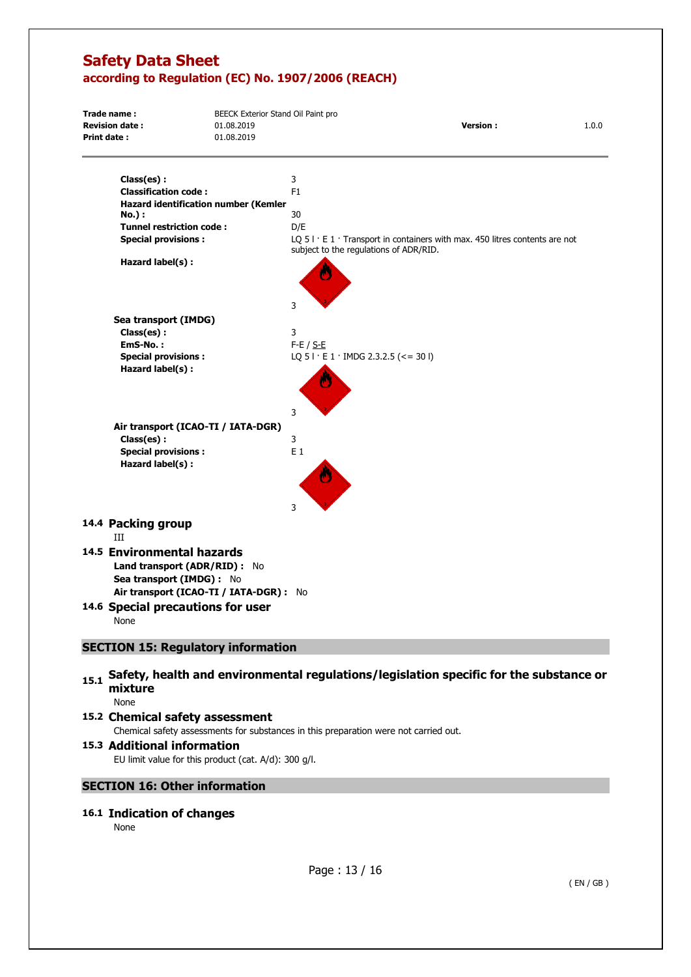| <b>Revision date:</b><br><b>Version:</b><br>01.08.2019<br>Print date:<br>01.08.2019<br>Class(es):<br>3<br><b>Classification code:</b><br>F <sub>1</sub><br>Hazard identification number (Kemler<br>30<br>No.) :<br><b>Tunnel restriction code:</b><br>D/E<br><b>Special provisions:</b><br>LQ $51 \cdot E1 \cdot$ Transport in containers with max. 450 litres contents are not<br>subject to the regulations of ADR/RID.<br>Hazard label(s) :<br>3<br>Sea transport (IMDG)<br>3<br>Class(es):<br>EmS-No.:<br>$F-E / S-E$<br><b>Special provisions:</b><br>LQ $51 \cdot E1 \cdot$ IMDG 2.3.2.5 (<= 30 I)<br>Hazard label(s) :<br>3<br>Air transport (ICAO-TI / IATA-DGR)<br>Class(es) :<br>3<br><b>Special provisions:</b><br>$E_1$<br>Hazard label(s) :<br>3<br>14.4 Packing group<br>III<br>14.5 Environmental hazards<br>Land transport (ADR/RID) : No<br>Sea transport (IMDG) : No<br>Air transport (ICAO-TI / IATA-DGR) : No<br>14.6 Special precautions for user<br>None<br><b>SECTION 15: Regulatory information</b> | Trade name: | BEECK Exterior Stand Oil Paint pro |  |  |       |  |
|-----------------------------------------------------------------------------------------------------------------------------------------------------------------------------------------------------------------------------------------------------------------------------------------------------------------------------------------------------------------------------------------------------------------------------------------------------------------------------------------------------------------------------------------------------------------------------------------------------------------------------------------------------------------------------------------------------------------------------------------------------------------------------------------------------------------------------------------------------------------------------------------------------------------------------------------------------------------------------------------------------------------------------|-------------|------------------------------------|--|--|-------|--|
|                                                                                                                                                                                                                                                                                                                                                                                                                                                                                                                                                                                                                                                                                                                                                                                                                                                                                                                                                                                                                             |             |                                    |  |  | 1.0.0 |  |
|                                                                                                                                                                                                                                                                                                                                                                                                                                                                                                                                                                                                                                                                                                                                                                                                                                                                                                                                                                                                                             |             |                                    |  |  |       |  |
|                                                                                                                                                                                                                                                                                                                                                                                                                                                                                                                                                                                                                                                                                                                                                                                                                                                                                                                                                                                                                             |             |                                    |  |  |       |  |
|                                                                                                                                                                                                                                                                                                                                                                                                                                                                                                                                                                                                                                                                                                                                                                                                                                                                                                                                                                                                                             |             |                                    |  |  |       |  |
|                                                                                                                                                                                                                                                                                                                                                                                                                                                                                                                                                                                                                                                                                                                                                                                                                                                                                                                                                                                                                             |             |                                    |  |  |       |  |
|                                                                                                                                                                                                                                                                                                                                                                                                                                                                                                                                                                                                                                                                                                                                                                                                                                                                                                                                                                                                                             |             |                                    |  |  |       |  |
|                                                                                                                                                                                                                                                                                                                                                                                                                                                                                                                                                                                                                                                                                                                                                                                                                                                                                                                                                                                                                             |             |                                    |  |  |       |  |
|                                                                                                                                                                                                                                                                                                                                                                                                                                                                                                                                                                                                                                                                                                                                                                                                                                                                                                                                                                                                                             |             |                                    |  |  |       |  |
|                                                                                                                                                                                                                                                                                                                                                                                                                                                                                                                                                                                                                                                                                                                                                                                                                                                                                                                                                                                                                             |             |                                    |  |  |       |  |
|                                                                                                                                                                                                                                                                                                                                                                                                                                                                                                                                                                                                                                                                                                                                                                                                                                                                                                                                                                                                                             |             |                                    |  |  |       |  |
|                                                                                                                                                                                                                                                                                                                                                                                                                                                                                                                                                                                                                                                                                                                                                                                                                                                                                                                                                                                                                             |             |                                    |  |  |       |  |
|                                                                                                                                                                                                                                                                                                                                                                                                                                                                                                                                                                                                                                                                                                                                                                                                                                                                                                                                                                                                                             |             |                                    |  |  |       |  |
|                                                                                                                                                                                                                                                                                                                                                                                                                                                                                                                                                                                                                                                                                                                                                                                                                                                                                                                                                                                                                             |             |                                    |  |  |       |  |
|                                                                                                                                                                                                                                                                                                                                                                                                                                                                                                                                                                                                                                                                                                                                                                                                                                                                                                                                                                                                                             |             |                                    |  |  |       |  |
|                                                                                                                                                                                                                                                                                                                                                                                                                                                                                                                                                                                                                                                                                                                                                                                                                                                                                                                                                                                                                             |             |                                    |  |  |       |  |
|                                                                                                                                                                                                                                                                                                                                                                                                                                                                                                                                                                                                                                                                                                                                                                                                                                                                                                                                                                                                                             |             |                                    |  |  |       |  |
|                                                                                                                                                                                                                                                                                                                                                                                                                                                                                                                                                                                                                                                                                                                                                                                                                                                                                                                                                                                                                             |             |                                    |  |  |       |  |
|                                                                                                                                                                                                                                                                                                                                                                                                                                                                                                                                                                                                                                                                                                                                                                                                                                                                                                                                                                                                                             |             |                                    |  |  |       |  |
|                                                                                                                                                                                                                                                                                                                                                                                                                                                                                                                                                                                                                                                                                                                                                                                                                                                                                                                                                                                                                             |             |                                    |  |  |       |  |
|                                                                                                                                                                                                                                                                                                                                                                                                                                                                                                                                                                                                                                                                                                                                                                                                                                                                                                                                                                                                                             |             |                                    |  |  |       |  |
|                                                                                                                                                                                                                                                                                                                                                                                                                                                                                                                                                                                                                                                                                                                                                                                                                                                                                                                                                                                                                             |             |                                    |  |  |       |  |
|                                                                                                                                                                                                                                                                                                                                                                                                                                                                                                                                                                                                                                                                                                                                                                                                                                                                                                                                                                                                                             |             |                                    |  |  |       |  |
|                                                                                                                                                                                                                                                                                                                                                                                                                                                                                                                                                                                                                                                                                                                                                                                                                                                                                                                                                                                                                             |             |                                    |  |  |       |  |
|                                                                                                                                                                                                                                                                                                                                                                                                                                                                                                                                                                                                                                                                                                                                                                                                                                                                                                                                                                                                                             |             |                                    |  |  |       |  |
|                                                                                                                                                                                                                                                                                                                                                                                                                                                                                                                                                                                                                                                                                                                                                                                                                                                                                                                                                                                                                             |             |                                    |  |  |       |  |
|                                                                                                                                                                                                                                                                                                                                                                                                                                                                                                                                                                                                                                                                                                                                                                                                                                                                                                                                                                                                                             |             |                                    |  |  |       |  |
|                                                                                                                                                                                                                                                                                                                                                                                                                                                                                                                                                                                                                                                                                                                                                                                                                                                                                                                                                                                                                             |             |                                    |  |  |       |  |
|                                                                                                                                                                                                                                                                                                                                                                                                                                                                                                                                                                                                                                                                                                                                                                                                                                                                                                                                                                                                                             |             |                                    |  |  |       |  |
|                                                                                                                                                                                                                                                                                                                                                                                                                                                                                                                                                                                                                                                                                                                                                                                                                                                                                                                                                                                                                             |             |                                    |  |  |       |  |
|                                                                                                                                                                                                                                                                                                                                                                                                                                                                                                                                                                                                                                                                                                                                                                                                                                                                                                                                                                                                                             |             |                                    |  |  |       |  |

## 15.1 Safety, health and environmental regulations/legislation specific for the substance or **mixture**

None

## **15.2 Chemical safety assessment**  Chemical safety assessments for substances in this preparation were not carried out.

## **15.3 Additional information**  EU limit value for this product (cat. A/d): 300 g/l.

## **SECTION 16: Other information**

## **16.1 Indication of changes**

None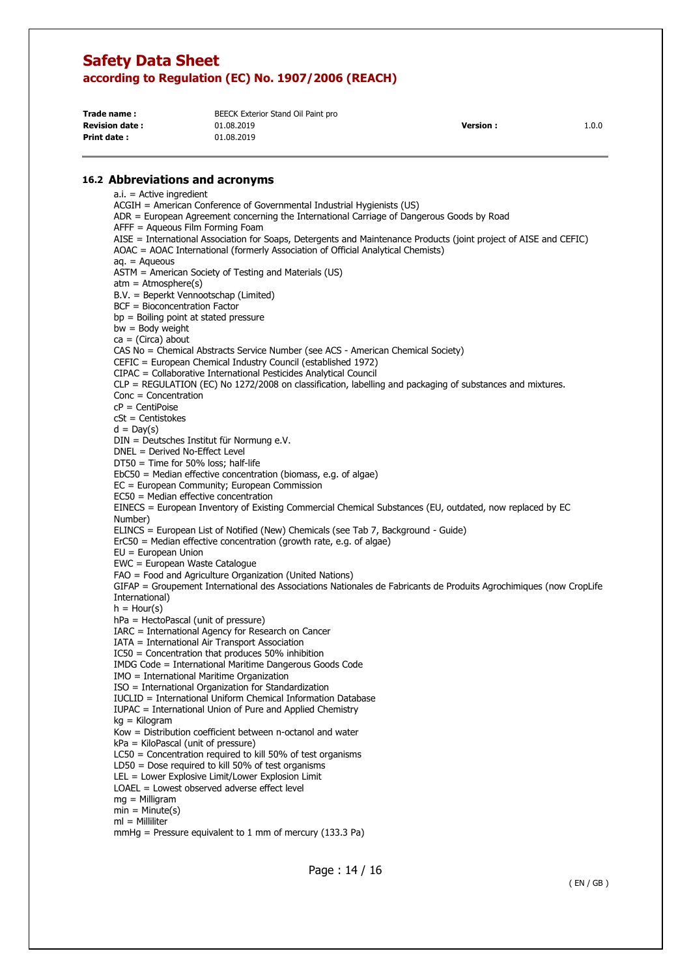| Trade name:           | BEECK Exterior Stand Oil Paint pro |                  |       |
|-----------------------|------------------------------------|------------------|-------|
| <b>Revision date:</b> | 01.08.2019                         | <b>Version</b> : | 1.0.0 |
| <b>Print date:</b>    | 01.08.2019                         |                  |       |

### **16.2 Abbreviations and acronyms**

a.i. = Active ingredient ACGIH = American Conference of Governmental Industrial Hygienists (US) ADR = European Agreement concerning the International Carriage of Dangerous Goods by Road AFFF = Aqueous Film Forming Foam AISE = International Association for Soaps, Detergents and Maintenance Products (joint project of AISE and CEFIC) AOAC = AOAC International (formerly Association of Official Analytical Chemists)  $a_n = A$ queous ASTM = American Society of Testing and Materials (US)  $atm = Atmosphere(s)$ B.V. = Beperkt Vennootschap (Limited) BCF = Bioconcentration Factor bp = Boiling point at stated pressure  $bw = Body$  weight  $ca = (Circa)$  about CAS No = Chemical Abstracts Service Number (see ACS - American Chemical Society) CEFIC = European Chemical Industry Council (established 1972) CIPAC = Collaborative International Pesticides Analytical Council CLP = REGULATION (EC) No 1272/2008 on classification, labelling and packaging of substances and mixtures. Conc = Concentration cP = CentiPoise cSt = Centistokes  $d = Day(s)$ DIN = Deutsches Institut für Normung e.V. DNEL = Derived No-Effect Level DT50 = Time for 50% loss; half-life EbC50 = Median effective concentration (biomass, e.g. of algae) EC = European Community; European Commission EC50 = Median effective concentration EINECS = European Inventory of Existing Commercial Chemical Substances (EU, outdated, now replaced by EC Number) ELINCS = European List of Notified (New) Chemicals (see Tab 7, Background - Guide)  $E r C50$  = Median effective concentration (growth rate, e.g. of algae) EU = European Union EWC = European Waste Catalogue FAO = Food and Agriculture Organization (United Nations) GIFAP = Groupement International des Associations Nationales de Fabricants de Produits Agrochimiques (now CropLife International)  $h =$  Hour(s) hPa = HectoPascal (unit of pressure) IARC = International Agency for Research on Cancer IATA = International Air Transport Association IC50 = Concentration that produces 50% inhibition IMDG Code = International Maritime Dangerous Goods Code IMO = International Maritime Organization ISO = International Organization for Standardization IUCLID = International Uniform Chemical Information Database IUPAC = International Union of Pure and Applied Chemistry kg = Kilogram Kow = Distribution coefficient between n-octanol and water kPa = KiloPascal (unit of pressure) LC50 = Concentration required to kill 50% of test organisms LD50 = Dose required to kill 50% of test organisms LEL = Lower Explosive Limit/Lower Explosion Limit LOAEL = Lowest observed adverse effect level mg = Milligram  $min = Minute(s)$  $ml =$  Milliliter mmHg = Pressure equivalent to 1 mm of mercury  $(133.3 \text{ Pa})$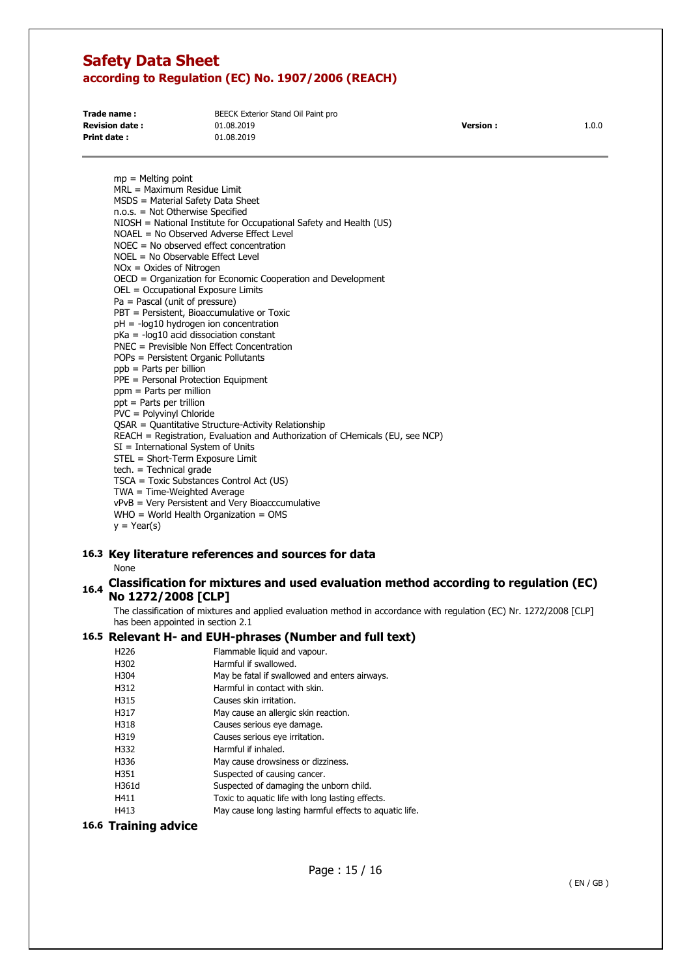| Trade name:           | BEECK Exterior Stand Oil Paint pro |                 |       |
|-----------------------|------------------------------------|-----------------|-------|
| <b>Revision date:</b> | 01.08.2019                         | <b>Version:</b> | 1.0.0 |
| Print date:           | 01.08.2019                         |                 |       |

mp = Melting point MRL = Maximum Residue Limit MSDS = Material Safety Data Sheet n.o.s. = Not Otherwise Specified NIOSH = National Institute for Occupational Safety and Health (US) NOAEL = No Observed Adverse Effect Level NOEC = No observed effect concentration NOEL = No Observable Effect Level NOx = Oxides of Nitrogen OECD = Organization for Economic Cooperation and Development OEL = Occupational Exposure Limits Pa = Pascal (unit of pressure) PBT = Persistent, Bioaccumulative or Toxic pH = -log10 hydrogen ion concentration  $p$ Ka = - $log10$  acid dissociation constant PNEC = Previsible Non Effect Concentration POPs = Persistent Organic Pollutants ppb = Parts per billion PPE = Personal Protection Equipment ppm = Parts per million ppt = Parts per trillion PVC = Polyvinyl Chloride QSAR = Quantitative Structure-Activity Relationship REACH = Registration, Evaluation and Authorization of CHemicals (EU, see NCP) SI = International System of Units STEL = Short-Term Exposure Limit tech. = Technical grade TSCA = Toxic Substances Control Act (US) TWA = Time-Weighted Average vPvB = Very Persistent and Very Bioacccumulative  $WHO = World Health Organization = OMS$  $y = \text{Year}(s)$ 

# **16.3 Key literature references and sources for data**

None

## **16.4 Classification for mixtures and used evaluation method according to regulation (EC) No 1272/2008 [CLP]**

The classification of mixtures and applied evaluation method in accordance with regulation (EC) Nr. 1272/2008 [CLP] has been appointed in section 2.1

## **16.5 Relevant H- and EUH-phrases (Number and full text)**

| H <sub>226</sub> | Flammable liquid and vapour.                            |
|------------------|---------------------------------------------------------|
| H302             | Harmful if swallowed.                                   |
| H304             | May be fatal if swallowed and enters airways.           |
| H312             | Harmful in contact with skin.                           |
| H315             | Causes skin irritation.                                 |
| H317             | May cause an allergic skin reaction.                    |
| H318             | Causes serious eye damage.                              |
| H319             | Causes serious eye irritation.                          |
| H332             | Harmful if inhaled.                                     |
| H336             | May cause drowsiness or dizziness.                      |
| H351             | Suspected of causing cancer.                            |
| H361d            | Suspected of damaging the unborn child.                 |
| H411             | Toxic to aquatic life with long lasting effects.        |
| H413             | May cause long lasting harmful effects to aquatic life. |

### **16.6 Training advice**